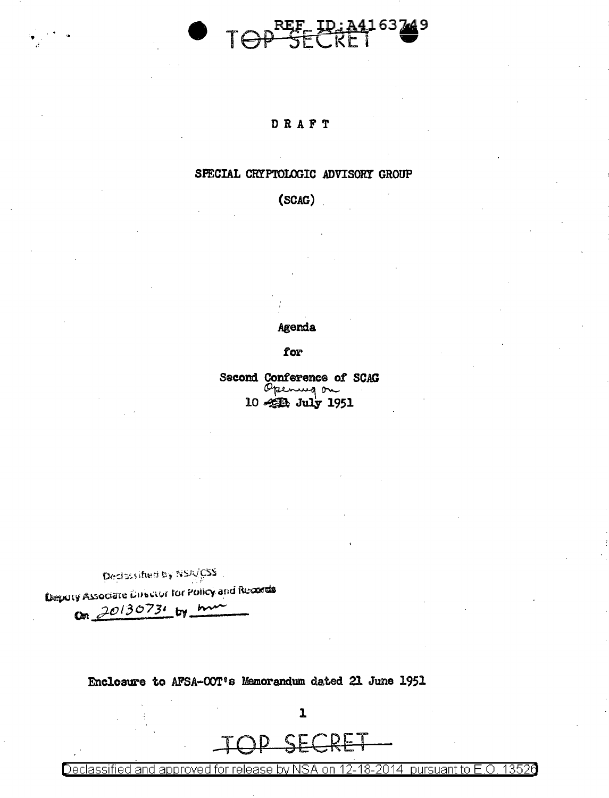# TOP SECRET

#### DRAFT

#### SPECIAL CRYPTOLOGIC ADVISORY GROUP

#### $(SCAG)$

#### Agenda

for

Second Conference of SCAG<br>
Opening on

Declassified by NSA/CSS

Deputy Associate Director for Policy and Records

On 20130731 by mm

Enclosure to AFSA-OOT's Mamorandum dated 21 June 1951

SECDE

 $\mathbf{I}$ 

Declassified and approved for release by NSA on 12-18-2014 pursuant to  $E.O.$ 13526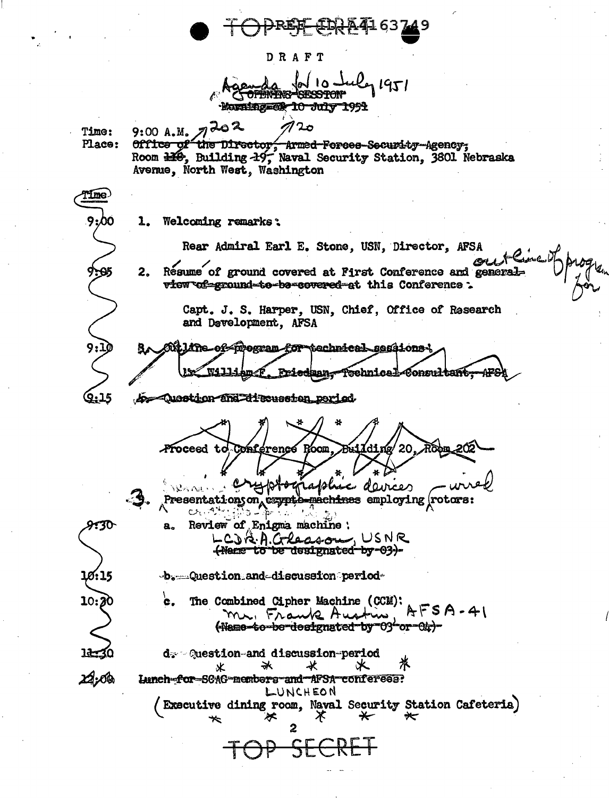DRAFT  $\mathbf{a}$ Morning=60 10 July 1991  $7202$ 02 ه Time:  $9:00A.M.$ office of the Director, Armed Forces-Security Agency; Place: Room 110, Building 19, Naval Security Station, 3601 Nebraska Avenue, North West, Washington Tíme 9:00 1. Welcoming remarks: Rear Admiral Earl E. Stone, USN, Director, AFSA Resume of ground covered at First Conference and general- $2.$ view of ground to be covered at this Conference: Capt. J. S. Harper, USN, Chief, Office of Research and Development, AFSA Miline of mogram for technical sessions t wajj **Friedman** fechnical-Consultant. ተዋ b Question and discussion period. 9:15 Proceed to Conference Room. LIdine e daveer Presentationyon, <del>exyptò machines</del> employing (rotors:  $O_1$  ,  $O_2$  ,  $O_3$  ,  $O_4$  ,  $O_4$ 430 Review of Enigma machine ; a. LCJA.A.Gleason, USNR <del>(Name to be designated by 03)</del>b. percention and discussion period-Ø: 15 c. The Combined Cipher Machine (CCM): 10:  $AFSA-41$ mr. Frank Austin (Name-to-be-designated-by-03-or-01;)d: Question-and discussion-period 米 氺 ⋇ 火 ⋇ ∠2,0® Lunch-for-SCAC-members-and-AFSA-conferees: LUNCHEON (Executive dining room, Naval Security Station Cafeteria)  $\star$  $\star$ 

ᠲ╋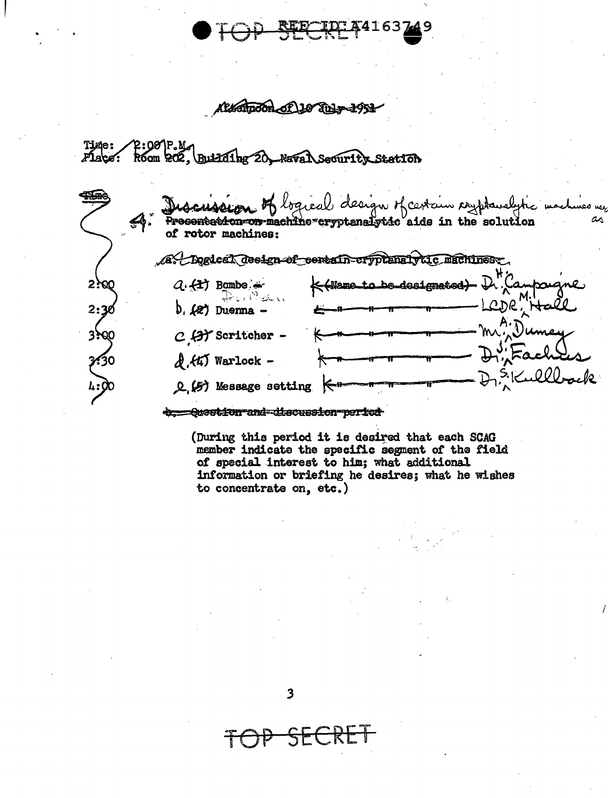163

Alexandon of 110 Tuly 1951

Time:<br>Plaçe: P:00 P.M.<br>Room 202. **Building** 20. Naval Security **Station** 

|            | cubeur of bgreab design of certain responsible machines us.<br><del>Ontars con-machine-cryptenalytic</del> aids in the solution<br>$\clubsuit$ .<br>of rotor machines: |
|------------|------------------------------------------------------------------------------------------------------------------------------------------------------------------------|
|            | A. Dogled deelen of certain cryptanalytic machines.                                                                                                                    |
| 2. 20      | Ktilementa bendesignated) D. Campaigne<br>$Q \leftarrow \leftarrow$ Bombe<br>$\oplus \ldots \oplus \infty$                                                             |
| 2:30       | LCDR',<br>$b.$ $(2)$ Duenna -                                                                                                                                          |
| 330C       | mr. Dumey<br>$C$ (A) Scritcher                                                                                                                                         |
| <b>A30</b> | $D''$ Fach<br>$d$ , $dx$ ) Warlock -                                                                                                                                   |
| 4:00       | IQ<br>Q (5) Message setting                                                                                                                                            |
|            | 218-22d <del>. Alg</del> ement en Frot <sup>a</sup> nt                                                                                                                 |

(During this period it is desired that each SCAG member indicate the specific segment of the field of special interest to him; what additional information or briefing he desires; what he wishes to concentrate on, etc.)

 $\rightarrow$ 

SECRET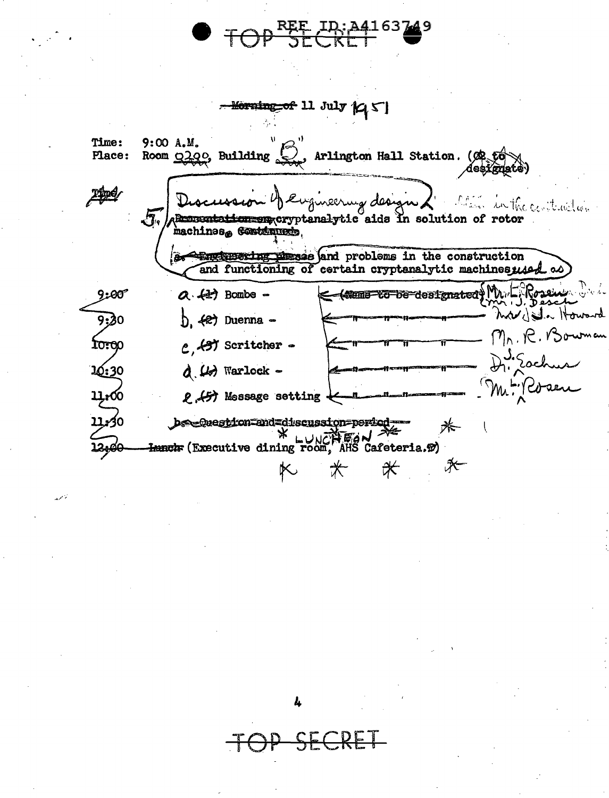REE ID; A4-Morning of 11 July 145 Time:  $9:00A.M.$ Arlington Hall Station. (OR fo Place: Room 0200, Building des, Discussion y engineering design) **Pine** in in the centeral con  $\sqrt{3}$ Anglusering misses and problems in the construction<br>and functioning of certain cryptanalytic machinesused as **Br**  $Q.4$ ? Bombe -Rosen  $9:00$ C (Mand Yo be designated  $\boldsymbol{\omega}$   $\boldsymbol{\omega}$  . 9:30<br>10:00  $b.$   $(2)$  Duenna - $Mn.R.Bo$  $c$ ,  $497$  Scritcher - $D_1$  . Eac 10:30  $d$   $\omega$  warlock - $\mathcal{M}$ 2.457 Mossage setting 0كيون bsequestion=and=discussion=period= 米  $*$ ₩

Ŀ.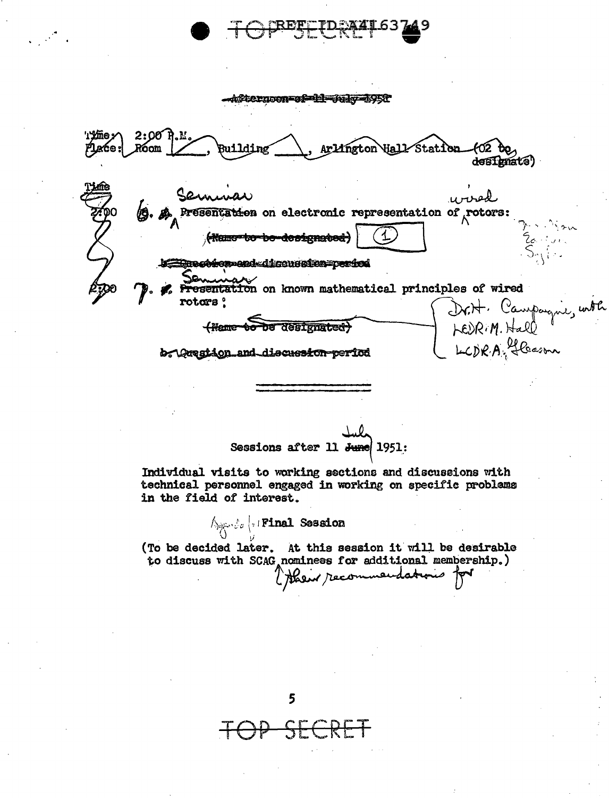Afternoon=of=11=00kg=1959 'ı'ime: 2:00 Place \Hall<del>/</del>Statica neton) deafhnate<sup>)</sup> urved 13. A Presentation on electronic representation of rotors: (Rame-to-be-designated) Le Encorement discussion=period Presentation on known mathematical principles of wired rotors <sup>o</sup> Dr.H. Campagne, with <del>(Name bo</del> be designated) b. Organion and discussion period

Sessions after 11 June 1951:

Individual visits to working sections and discussions with technical personnel engaged in working on specific problems in the field of interest.

Apple | Final Session

(To be decided later. At this session it will be desirable to discuss with SCAG nominees for additional membership.) ( Hosir recommendations

5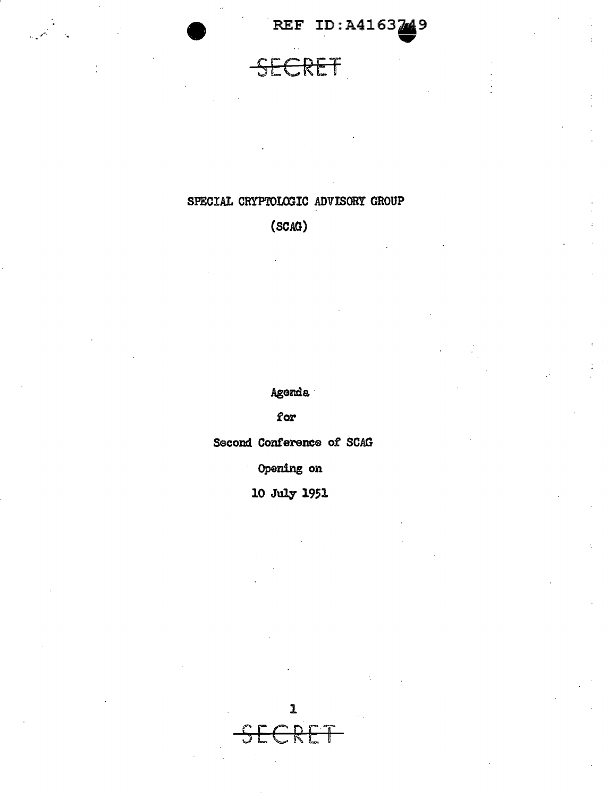REF ID:A4163249

SECRET

### SPECIAL CRYPTOLOGIC ADVISORY GROUP

 $(SCAG)$ 

Agenda

for

Second Conference of SCAG

Opening on

10 July 1951

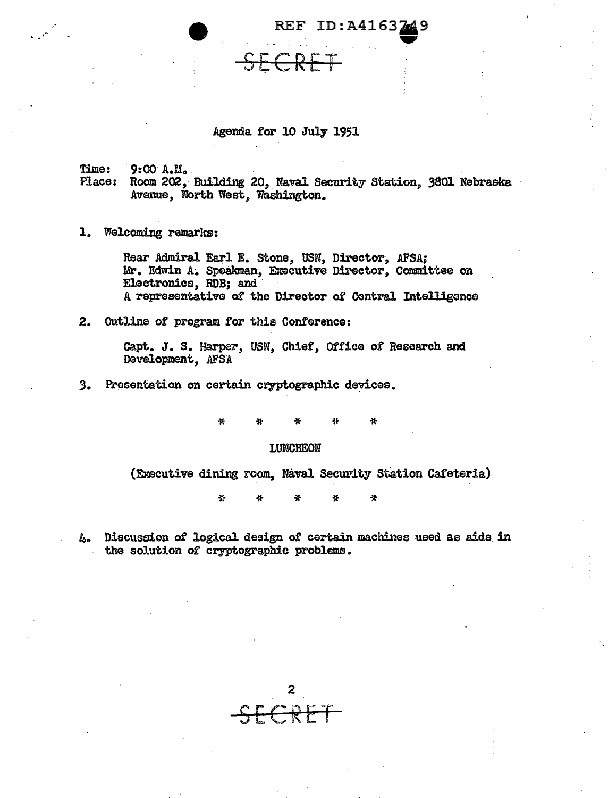**REF ID: A4163** 

#### Agenda for 10 July 1951

 $9:00 A.M.$ Time:

Place: Room 202, Building 20, Naval Security Station, 3801 Nebraska Avenue, North West, Washington.

1. Welcoming remarks:

Rear Admiral Earl E. Stone, USN, Director, AFSA; Mr. Edwin A. Speakman, Executive Director, Committee on Electronics, RDB; and A representative of the Director of Central Intelligence

2. Outline of program for this Conference:

Capt. J. S. Harper, USN, Chief, Office of Research and Development, AFSA

 $3.$ Presentation on certain cryptographic devices.

> ł. Ą.

#### LUNCHEON

(Executive dining room, Naval Security Station Cafeteria)

쏡 4

4. Discussion of logical design of certain machines used as aids in the solution of cryptographic problems.

2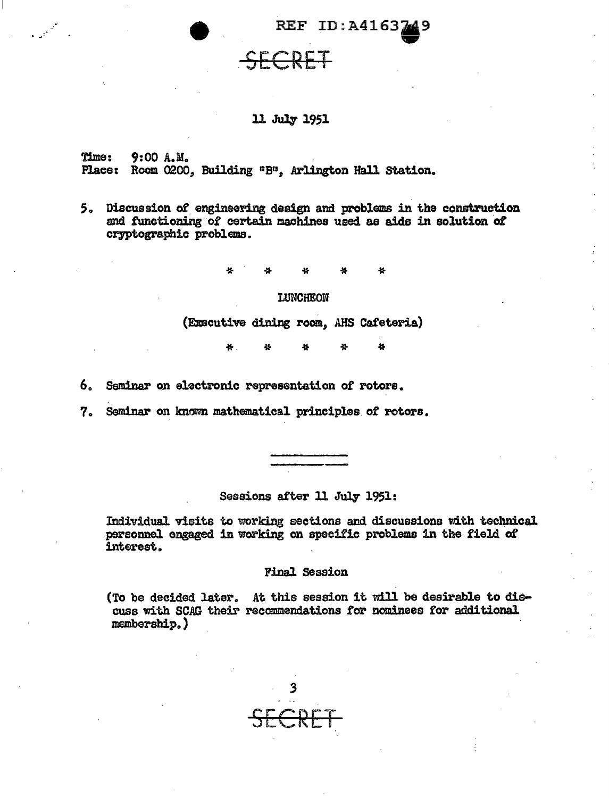## REF ID:A4163749

11 July 1951

Time: 9:00 A.M. Place: Room 0200, Building "B", Arlington Hall Station.

.<br>. . *.* 

*S.* Discussion of. engineering design and problems in the construction and functioning of certain machines used as aids in solution of cryptographic problems.

\* \* \* \* \*

#### LUNCHEON

(Executive dining room, AHS Cafeteria)

\* \* \*

6. Seminar on electronic representation of rotors.

7. Seminar on known mathematical principles of rotors.

Sessions after 11 July 1951:

Individual visits to working sections and discussions with technical personnel engaged in working on specific problems in the field of interest.

#### Final Session

(To be decided later. At this session it will be desirable to discuss with SCAG their recommendations for nominees for additional membership.)

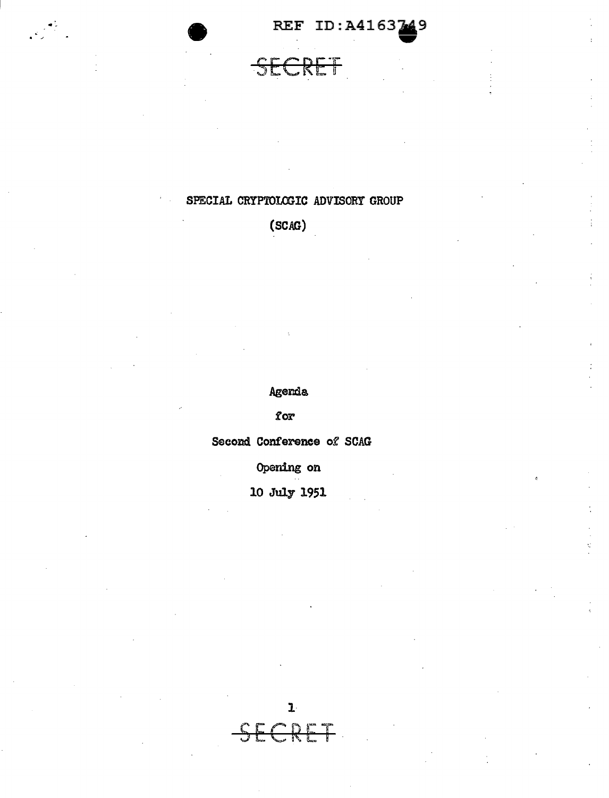REF ID: A4163249

### SECRET

 $\begin{pmatrix} 1 & 1 \\ 1 & 1 \\ 1 & 1 \end{pmatrix}$ 

#### SPECIAL CRYPTOLOGIC ADVISORY GROUP

(SCAG)

Agenda

for

Second Conference of SCAG

Opening on

10 July 1951

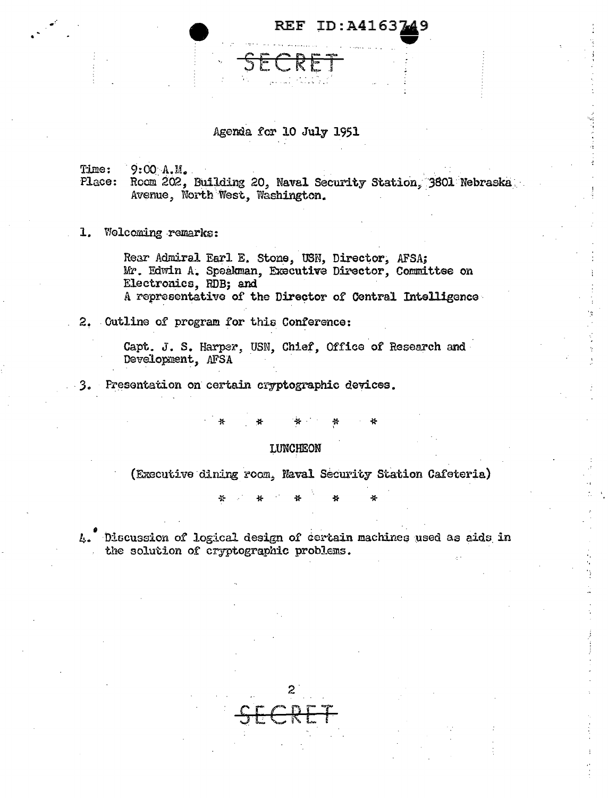**REF ID: A4163** 

#### Agenda for 10 July 1951

Time:  $9:00 A.M.$ 

Place: Room 202, Building 20, Naval Security Station, 3801 Nebraska Avenue, North West, Washington.

1. Welcoming remarks:

Rear Admiral Earl E. Stone, USN, Director, AFSA; Mr. Edwin A. Speakman, Executive Director, Committee on Electronics, RDB; and A representative of the Director of Central Intelligence

2. Cutline of program for this Conference:

Capt. J. S. Harper, USN, Chief, Office of Research and Development, AFSA

3. Presentation on certain cryptographic devices.

#### LUNCHEON

(Executive dining room, Naval Security Station Cafeteria)

쑛 46

4. Discussion of logical design of certain machines used as aids in the solution of cryptographic problems.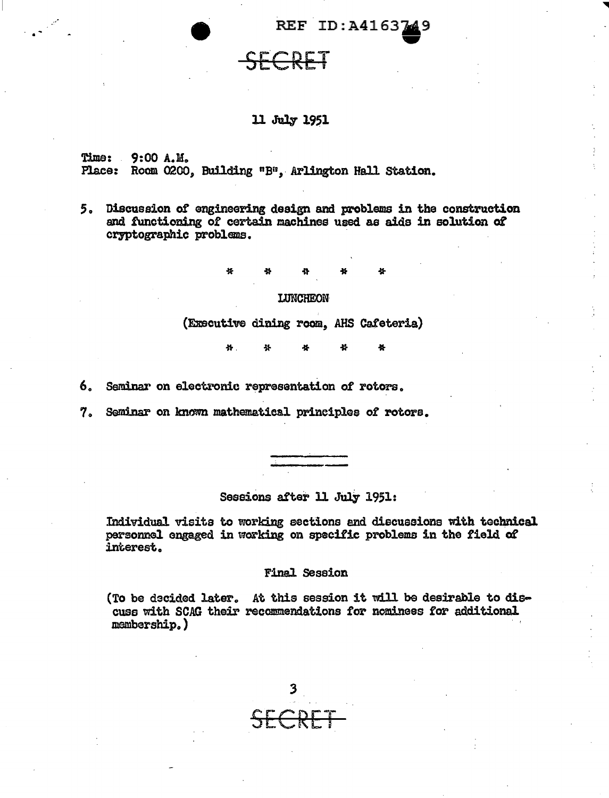REF ID:A4163749

#### 11 July 1951

ECRET

Time: 9:00 A.M. Place: Room 0200, Building "B", Arlington Hall Station.

 $\mathbb{R}^{\frac{1}{2}}$ 

5. Discussion of engineering design and problems in the construction and functioning of certain machines used as aids in solution ot cryptographic problems.

\* \* \*

#### **LUNCHEON**

(Emcutive dining room, AHS Cafeteria)

县. \* \* \*

6. Seminar on electronic represantation of rotors.

7. Seminar on known mathematical principles of rotors.

Sessions after 11 July 1951:

Individual visits to working sections and diecueeione with technical personnel engaged in working on specific problems in the field of interest.

#### Final Session

(To be decided later. At this session it will be desirable to discuss with SCAG their recommendations *tor* nominees for additional membership.)

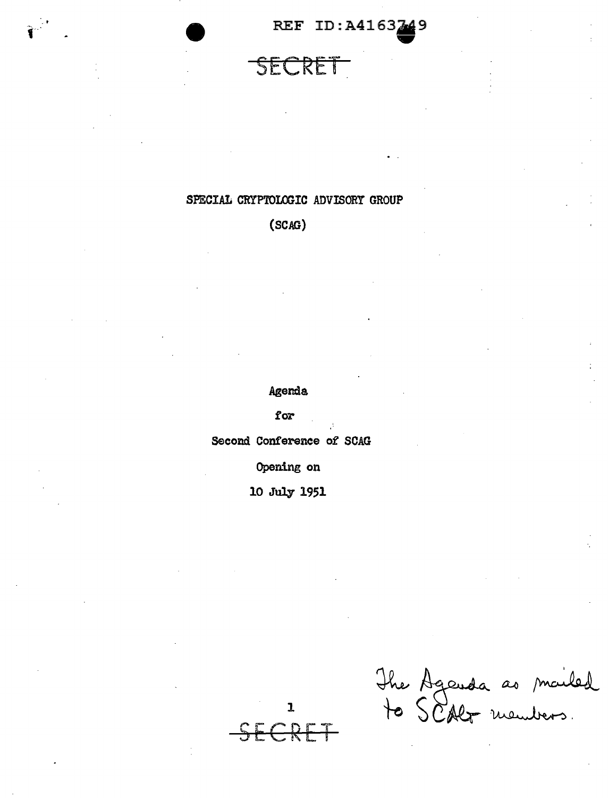REF ID:A4163749

### SECRET

#### SPECIAL CRYPTOLOGIC ADVISORY GROUP

 $(SCAG)$ 

Agenda

for

Second Conference of SCAG

Opening on

10 July 1951

 $\mathbf{I}$ 

The Agenda as mailed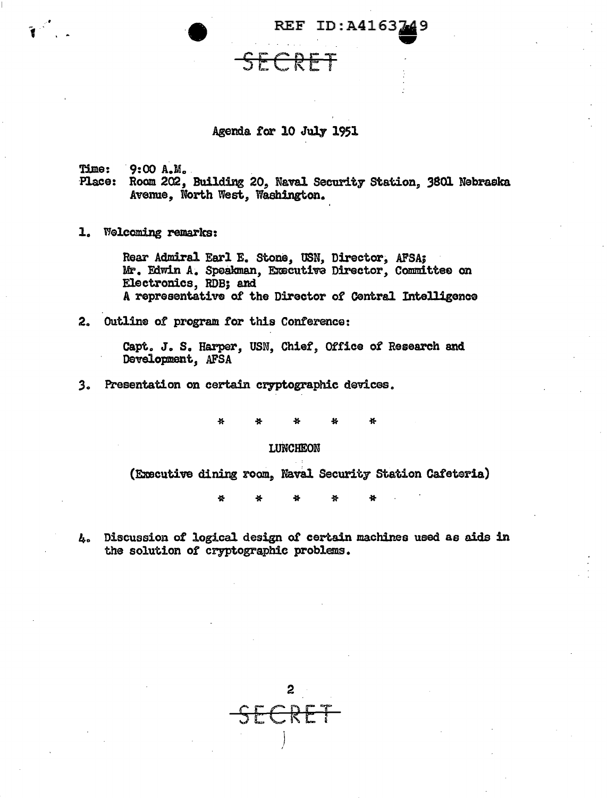

Agenda *tor* 10 July 1951

SECRET

49

Time: 9:00 A.M.<br>Place: Room 202, Building 20, Naval Security Station. 3801 Nebraska Avenue, North West, Washington.

1. Welcoming remarks:

Rear Admiral Earl E. stone, USN, Director; AFSA; Mr. Edwin A. Speakman, Executive Director, Committee on Electronics, RDB; and A representative of the Director of Central Intelligence

2. Outlins of program for this Conference:

Capt. J. s. Harper, USN, Chief, Office of Research and Development, AFSA

3. Presentation on certain cryptographic devices.

\* \* \* \* \*

#### LUNCHEON

(Executive dining room, Naval Security Station Cafeteria)

Ł. \* \* \* \*

1+. Discussion of logical design o£ certain machines used as aids in the solution of cryptographic problems.

2 SECRET  $\big)$